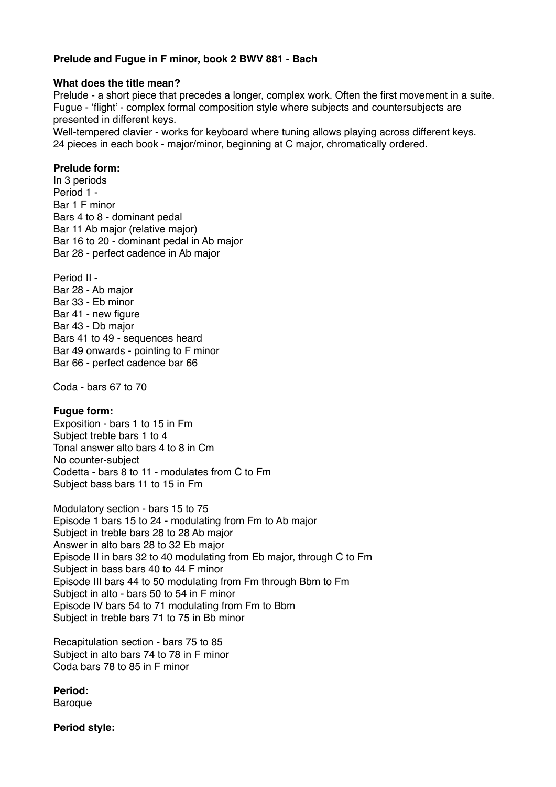# **Prelude and Fugue in F minor, book 2 BWV 881 - Bach**

## **What does the title mean?**

Prelude - a short piece that precedes a longer, complex work. Often the first movement in a suite. Fugue - 'flight' - complex formal composition style where subjects and countersubjects are presented in different keys.

Well-tempered clavier - works for keyboard where tuning allows playing across different keys. 24 pieces in each book - major/minor, beginning at C major, chromatically ordered.

## **Prelude form:**

In 3 periods Period 1 - Bar 1 F minor Bars 4 to 8 - dominant pedal Bar 11 Ab major (relative major) Bar 16 to 20 - dominant pedal in Ab major Bar 28 - perfect cadence in Ab major

Period II - Bar 28 - Ab major Bar 33 - Eb minor Bar 41 - new figure Bar 43 - Db major Bars 41 to 49 - sequences heard Bar 49 onwards - pointing to F minor Bar 66 - perfect cadence bar 66

Coda - bars 67 to 70

#### **Fugue form:**

Exposition - bars 1 to 15 in Fm Subject treble bars 1 to 4 Tonal answer alto bars 4 to 8 in Cm No counter-subject Codetta - bars 8 to 11 - modulates from C to Fm Subject bass bars 11 to 15 in Fm

Modulatory section - bars 15 to 75 Episode 1 bars 15 to 24 - modulating from Fm to Ab major Subject in treble bars 28 to 28 Ab major Answer in alto bars 28 to 32 Eb major Episode II in bars 32 to 40 modulating from Eb major, through C to Fm Subject in bass bars 40 to 44 F minor Episode III bars 44 to 50 modulating from Fm through Bbm to Fm Subject in alto - bars 50 to 54 in F minor Episode IV bars 54 to 71 modulating from Fm to Bbm Subject in treble bars 71 to 75 in Bb minor

Recapitulation section - bars 75 to 85 Subject in alto bars 74 to 78 in F minor Coda bars 78 to 85 in F minor

**Period: Baroque** 

**Period style:**